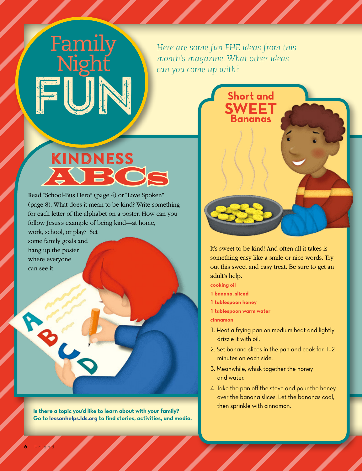#### *Here are some fun FHE ideas from this month's magazine. What other ideas can you come up with?*

# Kindness AU BKC

Read "School-Bus Hero" (page 4) or "Love Spoken" (page 8). What does it mean to be kind? Write something for each letter of the alphabet on a poster. How can you follow Jesus's example of being kind—at home, work, school, or play? Set

some family goals and hang up the poster where everyone can see it.

e animy<br>Nioht

Family

Night

FUN

**Pality** 

**Fund** 

**Is there a topic you'd like to learn about with your family? Go to [lessonhelps.lds.org](http://lessonhelps.lds.org) to find stories, activities, and media.**



It's sweet to be kind! And often all it takes is something easy like a smile or nice words. Try out this sweet and easy treat. Be sure to get an adult's help.

**cooking oil**

- **1 banana, sliced**
- **1 tablespoon honey**
- **1 tablespoon warm water**

**cinnamon**

- 1. Heat a frying pan on medium heat and lightly drizzle it with oil.
- 2. Set banana slices in the pan and cook for 1–2 minutes on each side.
- 3. Meanwhile, whisk together the honey and water.
- 4. Take the pan off the stove and pour the honey over the banana slices. Let the bananas cool, then sprinkle with cinnamon.